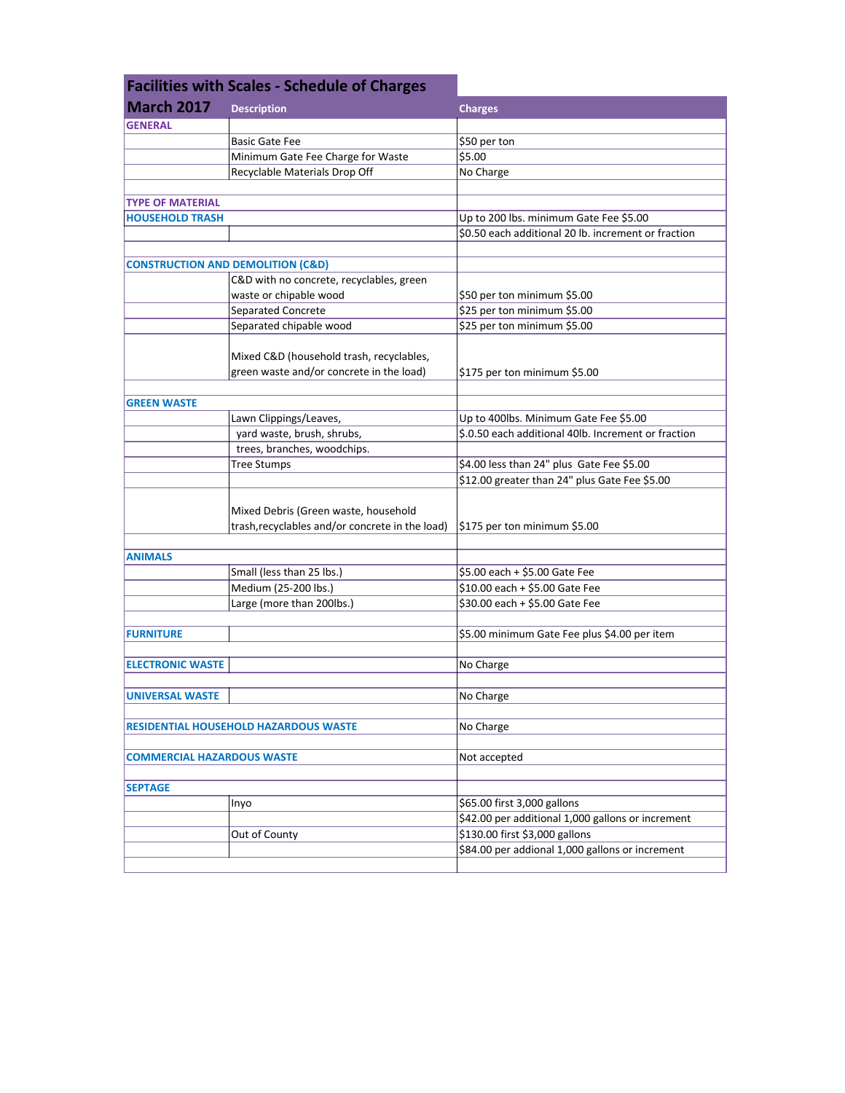| <b>Facilities with Scales - Schedule of Charges</b> |                                                 |                                                     |
|-----------------------------------------------------|-------------------------------------------------|-----------------------------------------------------|
| <b>March 2017</b>                                   | <b>Description</b>                              | <b>Charges</b>                                      |
| <b>GENERAL</b>                                      |                                                 |                                                     |
|                                                     | <b>Basic Gate Fee</b>                           | \$50 per ton                                        |
|                                                     | Minimum Gate Fee Charge for Waste               | \$5.00                                              |
|                                                     | Recyclable Materials Drop Off                   | No Charge                                           |
|                                                     |                                                 |                                                     |
| <b>TYPE OF MATERIAL</b>                             |                                                 |                                                     |
| <b>HOUSEHOLD TRASH</b>                              |                                                 | Up to 200 lbs. minimum Gate Fee \$5.00              |
|                                                     |                                                 | \$0.50 each additional 20 lb. increment or fraction |
|                                                     |                                                 |                                                     |
|                                                     | <b>CONSTRUCTION AND DEMOLITION (C&amp;D)</b>    |                                                     |
|                                                     | C&D with no concrete, recyclables, green        |                                                     |
|                                                     | waste or chipable wood                          | \$50 per ton minimum \$5.00                         |
|                                                     | Separated Concrete                              | \$25 per ton minimum \$5.00                         |
|                                                     | Separated chipable wood                         | \$25 per ton minimum \$5.00                         |
|                                                     |                                                 |                                                     |
|                                                     | Mixed C&D (household trash, recyclables,        |                                                     |
|                                                     | green waste and/or concrete in the load)        | \$175 per ton minimum \$5.00                        |
|                                                     |                                                 |                                                     |
| <b>GREEN WASTE</b>                                  |                                                 |                                                     |
|                                                     | Lawn Clippings/Leaves,                          | Up to 400lbs. Minimum Gate Fee \$5.00               |
|                                                     | yard waste, brush, shrubs,                      | \$.0.50 each additional 40lb. Increment or fraction |
|                                                     | trees, branches, woodchips.                     |                                                     |
|                                                     | <b>Tree Stumps</b>                              | \$4.00 less than 24" plus Gate Fee \$5.00           |
|                                                     |                                                 | \$12.00 greater than 24" plus Gate Fee \$5.00       |
|                                                     |                                                 |                                                     |
|                                                     | Mixed Debris (Green waste, household            |                                                     |
|                                                     | trash, recyclables and/or concrete in the load) | \$175 per ton minimum \$5.00                        |
|                                                     |                                                 |                                                     |
| <b>ANIMALS</b>                                      |                                                 |                                                     |
|                                                     | Small (less than 25 lbs.)                       | \$5.00 each + \$5.00 Gate Fee                       |
|                                                     | Medium (25-200 lbs.)                            | \$10.00 each + \$5.00 Gate Fee                      |
|                                                     | Large (more than 200lbs.)                       | \$30.00 each + \$5.00 Gate Fee                      |
|                                                     |                                                 | \$5.00 minimum Gate Fee plus \$4.00 per item        |
| <b>FURNITURE</b>                                    |                                                 |                                                     |
| <b>ELECTRONIC WASTE</b>                             |                                                 | No Charge                                           |
|                                                     |                                                 |                                                     |
| <b>UNIVERSAL WASTE</b>                              |                                                 | No Charge                                           |
|                                                     |                                                 |                                                     |
|                                                     | <b>RESIDENTIAL HOUSEHOLD HAZARDOUS WASTE</b>    | No Charge                                           |
|                                                     |                                                 |                                                     |
| <b>COMMERCIAL HAZARDOUS WASTE</b>                   |                                                 | Not accepted                                        |
|                                                     |                                                 |                                                     |
| <b>SEPTAGE</b>                                      |                                                 |                                                     |
|                                                     | Inyo                                            | \$65.00 first 3,000 gallons                         |
|                                                     |                                                 | \$42.00 per additional 1,000 gallons or increment   |
|                                                     | Out of County                                   | \$130.00 first \$3,000 gallons                      |
|                                                     |                                                 | \$84.00 per addional 1,000 gallons or increment     |
|                                                     |                                                 |                                                     |